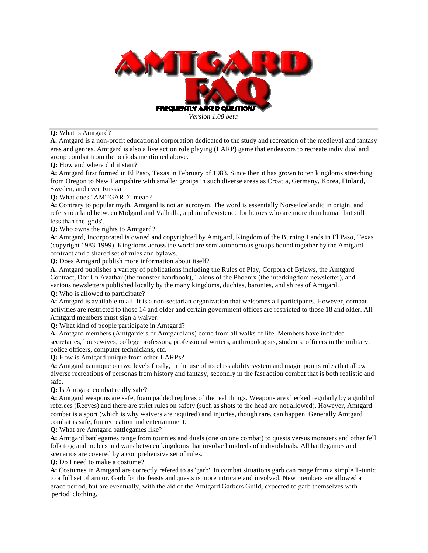

**Q:** What is Amtgard?

**A:** Amtgard is a non-profit educational corporation dedicated to the study and recreation of the medieval and fantasy eras and genres. Amtgard is also a live action role playing (LARP) game that endeavors to recreate individual and group combat from the periods mentioned above.

**Q:** How and where did it start?

**A:** Amtgard first formed in El Paso, Texas in February of 1983. Since then it has grown to ten kingdoms stretching from Oregon to New Hampshire with smaller groups in such diverse areas as Croatia, Germany, Korea, Finland, Sweden, and even Russia.

**Q:** What does "AMTGARD" mean?

**A:** Contrary to popular myth, Amtgard is not an acronym. The word is essentially Norse/Icelandic in origin, and refers to a land between Midgard and Valhalla, a plain of existence for heroes who are more than human but still less than the 'gods'.

**Q:** Who owns the rights to Amtgard?

**A:** Amtgard, Incorporated is owned and copyrighted by Amtgard, Kingdom of the Burning Lands in El Paso, Texas (copyright 1983-1999). Kingdoms across the world are semiautonomous groups bound together by the Amtgard contract and a shared set of rules and bylaws.

**Q:** Does Amtgard publish more information about itself?

**A:** Amtgard publishes a variety of publications including the Rules of Play, Corpora of Bylaws, the Amtgard Contract, Dor Un Avathar (the monster handbook), Talons of the Phoenix (the interkingdom newsletter), and various newsletters published locally by the many kingdoms, duchies, baronies, and shires of Amtgard.

**Q:** Who is allowed to participate?

**A:** Amtgard is available to all. It is a non-sectarian organization that welcomes all participants. However, combat activities are restricted to those 14 and older and certain government offices are restricted to those 18 and older. All Amtgard members must sign a waiver.

**Q:** What kind of people participate in Amtgard?

**A:** Amtgard members (Amtgarders or Amtgardians) come from all walks of life. Members have included secretaries, housewives, college professors, professional writers, anthropologists, students, officers in the military, police officers, computer technicians, etc.

**Q:** How is Amtgard unique from other LARPs?

**A:** Amtgard is unique on two levels firstly, in the use of its class ability system and magic points rules that allow diverse recreations of personas from history and fantasy, secondly in the fast action combat that is both realistic and safe.

**Q:** Is Amtgard combat really safe?

**A:** Amtgard weapons are safe, foam padded replicas of the real things. Weapons are checked regularly by a guild of referees (Reeves) and there are strict rules on safety (such as shots to the head are not allowed). However, Amtgard combat is a sport (which is why waivers are required) and injuries, though rare, can happen. Generally Amtgard combat is safe, fun recreation and entertainment.

**Q:** What are Amtgard battlegames like?

**A:** Amtgard battlegames range from tournies and duels (one on one combat) to quests versus monsters and other fell folk to grand melees and wars between kingdoms that involve hundreds of individiduals. All battlegames and scenarios are covered by a comprehensive set of rules.

**Q:** Do I need to make a costume?

**A:** Costumes in Amtgard are correctly refered to as 'garb'. In combat situations garb can range from a simple T-tunic to a full set of armor. Garb for the feasts and quests is more intricate and involved. New members are allowed a grace period, but are eventually, with the aid of the Amtgard Garbers Guild, expected to garb themselves with 'period' clothing.